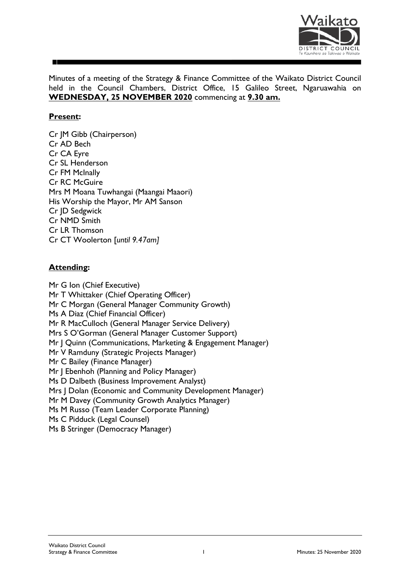

Minutes of a meeting of the Strategy & Finance Committee of the Waikato District Council held in the Council Chambers, District Office, 15 Galileo Street, Ngaruawahia on **WEDNESDAY, 25 NOVEMBER 2020** commencing at **9.30 am.**

# **Present:**

Cr JM Gibb (Chairperson) Cr AD Bech Cr CA Eyre Cr SL Henderson Cr FM McInally Cr RC McGuire Mrs M Moana Tuwhangai (Maangai Maaori) His Worship the Mayor, Mr AM Sanson Cr JD Sedgwick Cr NMD Smith Cr LR Thomson Cr CT Woolerton [*until 9.47am]*

# **Attending:**

Mr G Ion (Chief Executive) Mr T Whittaker (Chief Operating Officer) Mr C Morgan (General Manager Community Growth) Ms A Diaz (Chief Financial Officer) Mr R MacCulloch (General Manager Service Delivery) Mrs S O'Gorman (General Manager Customer Support) Mr | Quinn (Communications, Marketing & Engagement Manager) Mr V Ramduny (Strategic Projects Manager) Mr C Bailey (Finance Manager) Mr J Ebenhoh (Planning and Policy Manager) Ms D Dalbeth (Business Improvement Analyst) Mrs J Dolan (Economic and Community Development Manager) Mr M Davey (Community Growth Analytics Manager) Ms M Russo (Team Leader Corporate Planning) Ms C Pidduck (Legal Counsel) Ms B Stringer (Democracy Manager)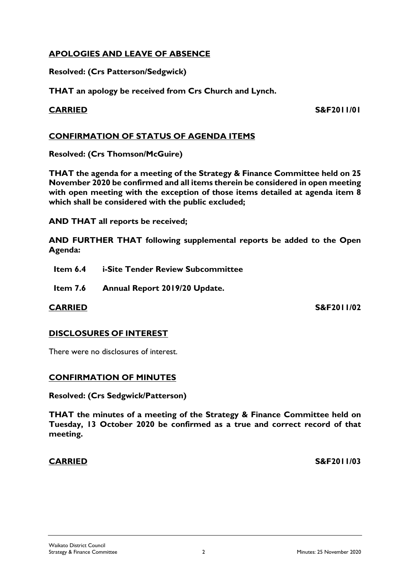# **APOLOGIES AND LEAVE OF ABSENCE**

**Resolved: (Crs Patterson/Sedgwick)**

**THAT an apology be received from Crs Church and Lynch.**

**CARRIED S&F2011/01**

# **CONFIRMATION OF STATUS OF AGENDA ITEMS**

**Resolved: (Crs Thomson/McGuire)**

**THAT the agenda for a meeting of the Strategy & Finance Committee held on 25 November 2020 be confirmed and all items therein be considered in open meeting with open meeting with the exception of those items detailed at agenda item 8 which shall be considered with the public excluded;**

**AND THAT all reports be received;**

**AND FURTHER THAT following supplemental reports be added to the Open Agenda:**

- **Item 6.4 i-Site Tender Review Subcommittee**
- **Item 7.6 Annual Report 2019/20 Update.**

**CARRIED S&F2011/02**

### **DISCLOSURES OF INTEREST**

There were no disclosures of interest.

# **CONFIRMATION OF MINUTES**

**Resolved: (Crs Sedgwick/Patterson)**

**THAT the minutes of a meeting of the Strategy & Finance Committee held on Tuesday, 13 October 2020 be confirmed as a true and correct record of that meeting.**

**CARRIED S&F2011/03**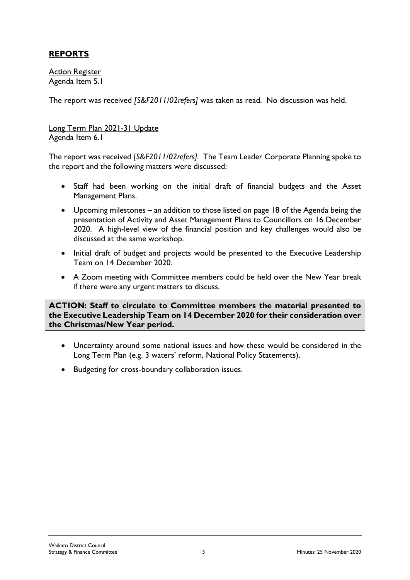# **REPORTS**

Action Register Agenda Item 5.1

The report was received *[S&F2011/02refers]* was taken as read. No discussion was held.

Long Term Plan 2021-31 Update Agenda Item 6.1

The report was received *[S&F2011/02refers].* The Team Leader Corporate Planning spoke to the report and the following matters were discussed:

- Staff had been working on the initial draft of financial budgets and the Asset Management Plans.
- Upcoming milestones an addition to those listed on page 18 of the Agenda being the presentation of Activity and Asset Management Plans to Councillors on 16 December 2020. A high-level view of the financial position and key challenges would also be discussed at the same workshop.
- Initial draft of budget and projects would be presented to the Executive Leadership Team on 14 December 2020.
- A Zoom meeting with Committee members could be held over the New Year break if there were any urgent matters to discuss.

**ACTION: Staff to circulate to Committee members the material presented to the Executive Leadership Team on 14 December 2020 for their consideration over the Christmas/New Year period.**

- Uncertainty around some national issues and how these would be considered in the Long Term Plan (e.g. 3 waters' reform, National Policy Statements).
- Budgeting for cross-boundary collaboration issues.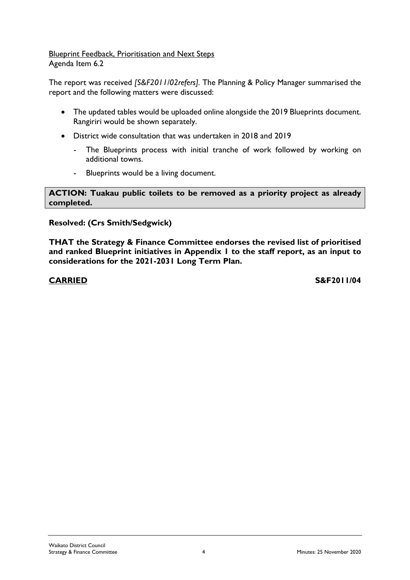### Blueprint Feedback, Prioritisation and Next Steps Agenda Item 6.2

The report was received *[S&F2011/02refers].* The Planning & Policy Manager summarised the report and the following matters were discussed:

- The updated tables would be uploaded online alongside the 2019 Blueprints document. Rangiriri would be shown separately.
- District wide consultation that was undertaken in 2018 and 2019
	- The Blueprints process with initial tranche of work followed by working on additional towns.
	- Blueprints would be a living document.

**ACTION: Tuakau public toilets to be removed as a priority project as already completed.**

# **Resolved: (Crs Smith/Sedgwick)**

**THAT the Strategy & Finance Committee endorses the revised list of prioritised and ranked Blueprint initiatives in Appendix 1 to the staff report, as an input to considerations for the 2021-2031 Long Term Plan.**

**CARRIED S&F2011/04**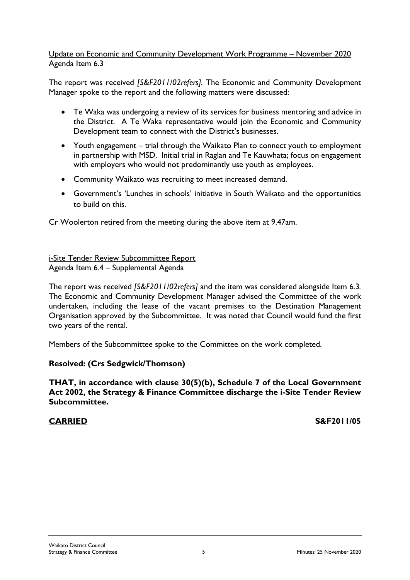### Update on Economic and Community Development Work Programme – November 2020 Agenda Item 6.3

The report was received *[S&F2011/02refers].* The Economic and Community Development Manager spoke to the report and the following matters were discussed:

- Te Waka was undergoing a review of its services for business mentoring and advice in the District. A Te Waka representative would join the Economic and Community Development team to connect with the District's businesses.
- Youth engagement trial through the Waikato Plan to connect youth to employment in partnership with MSD. Initial trial in Raglan and Te Kauwhata; focus on engagement with employers who would not predominantly use youth as employees.
- Community Waikato was recruiting to meet increased demand.
- Government's 'Lunches in schools' initiative in South Waikato and the opportunities to build on this.

Cr Woolerton retired from the meeting during the above item at 9.47am.

i-Site Tender Review Subcommittee Report Agenda Item 6.4 – Supplemental Agenda

The report was received *[S&F2011/02refers]* and the item was considered alongside Item 6.3*.*  The Economic and Community Development Manager advised the Committee of the work undertaken, including the lease of the vacant premises to the Destination Management Organisation approved by the Subcommittee. It was noted that Council would fund the first two years of the rental.

Members of the Subcommittee spoke to the Committee on the work completed.

### **Resolved: (Crs Sedgwick/Thomson)**

**THAT, in accordance with clause 30(5)(b), Schedule 7 of the Local Government Act 2002, the Strategy & Finance Committee discharge the i-Site Tender Review Subcommittee.**

**CARRIED S&F2011/05**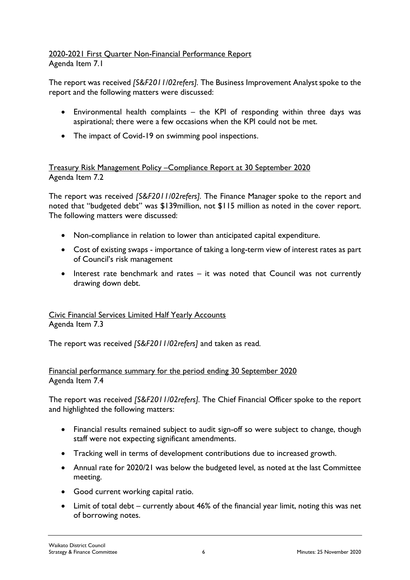### 2020-2021 First Quarter Non-Financial Performance Report Agenda Item 7.1

The report was received *[S&F2011/02refers].* The Business Improvement Analystspoke to the report and the following matters were discussed:

- Environmental health complaints the KPI of responding within three days was aspirational; there were a few occasions when the KPI could not be met.
- The impact of Covid-19 on swimming pool inspections.

# Treasury Risk Management Policy –Compliance Report at 30 September 2020 Agenda Item 7.2

The report was received *[S&F2011/02refers].* The Finance Manager spoke to the report and noted that "budgeted debt" was \$139million, not \$115 million as noted in the cover report. The following matters were discussed:

- Non-compliance in relation to lower than anticipated capital expenditure.
- Cost of existing swaps importance of taking a long-term view of interest rates as part of Council's risk management
- Interest rate benchmark and rates it was noted that Council was not currently drawing down debt.

# Civic Financial Services Limited Half Yearly Accounts Agenda Item 7.3

The report was received *[S&F2011/02refers]* and taken as read*.* 

# Financial performance summary for the period ending 30 September 2020 Agenda Item 7.4

The report was received *[S&F2011/02refers].* The Chief Financial Officer spoke to the report and highlighted the following matters:

- Financial results remained subject to audit sign-off so were subject to change, though staff were not expecting significant amendments.
- Tracking well in terms of development contributions due to increased growth.
- Annual rate for 2020/21 was below the budgeted level, as noted at the last Committee meeting.
- Good current working capital ratio.
- Limit of total debt currently about 46% of the financial year limit, noting this was net of borrowing notes.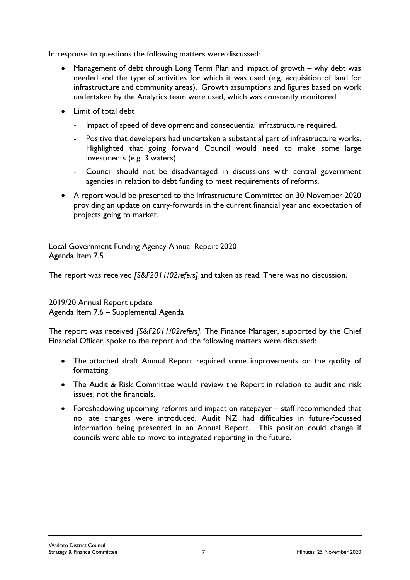In response to questions the following matters were discussed:

- Management of debt through Long Term Plan and impact of growth why debt was needed and the type of activities for which it was used (e.g. acquisition of land for infrastructure and community areas). Growth assumptions and figures based on work undertaken by the Analytics team were used, which was constantly monitored.
- Limit of total debt
	- Impact of speed of development and consequential infrastructure required.
	- Positive that developers had undertaken a substantial part of infrastructure works. Highlighted that going forward Council would need to make some large investments (e.g. 3 waters).
	- Council should not be disadvantaged in discussions with central government agencies in relation to debt funding to meet requirements of reforms.
- A report would be presented to the Infrastructure Committee on 30 November 2020 providing an update on carry-forwards in the current financial year and expectation of projects going to market.

Local Government Funding Agency Annual Report 2020 Agenda Item 7.5

The report was received *[S&F2011/02refers]* and taken as read*.* There was no discussion.

### 2019/20 Annual Report update

Agenda Item 7.6 – Supplemental Agenda

The report was received *[S&F2011/02refers].* The Finance Manager, supported by the Chief Financial Officer, spoke to the report and the following matters were discussed:

- The attached draft Annual Report required some improvements on the quality of formatting.
- The Audit & Risk Committee would review the Report in relation to audit and risk issues, not the financials.
- Foreshadowing upcoming reforms and impact on ratepayer staff recommended that no late changes were introduced. Audit NZ had difficulties in future-focussed information being presented in an Annual Report. This position could change if councils were able to move to integrated reporting in the future.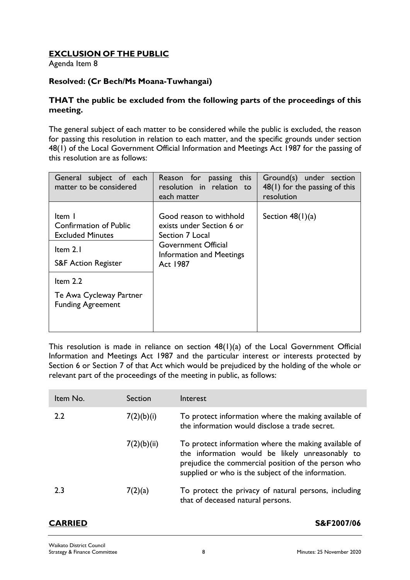# **EXCLUSION OF THE PUBLIC**

Agenda Item 8

# **Resolved: (Cr Bech/Ms Moana-Tuwhangai)**

### **THAT the public be excluded from the following parts of the proceedings of this meeting.**

The general subject of each matter to be considered while the public is excluded, the reason for passing this resolution in relation to each matter, and the specific grounds under section 48(1) of the Local Government Official Information and Meetings Act 1987 for the passing of this resolution are as follows:

| General subject of each<br>matter to be considered                                                                               | Reason for passing this<br>resolution in relation to<br>each matter                                                                           | Ground(s) under section<br>$48(1)$ for the passing of this<br>resolution |
|----------------------------------------------------------------------------------------------------------------------------------|-----------------------------------------------------------------------------------------------------------------------------------------------|--------------------------------------------------------------------------|
| Item I<br><b>Confirmation of Public</b><br><b>Excluded Minutes</b><br>Item $2.1$<br><b>S&amp;F Action Register</b><br>Item $2.2$ | Good reason to withhold<br>exists under Section 6 or<br>Section 7 Local<br><b>Government Official</b><br>Information and Meetings<br>Act 1987 | Section $48(1)(a)$                                                       |
| Te Awa Cycleway Partner<br><b>Funding Agreement</b>                                                                              |                                                                                                                                               |                                                                          |

This resolution is made in reliance on section 48(1)(a) of the Local Government Official Information and Meetings Act 1987 and the particular interest or interests protected by Section 6 or Section 7 of that Act which would be prejudiced by the holding of the whole or relevant part of the proceedings of the meeting in public, as follows:

| Item No. | Section     | Interest                                                                                                                                                                                                             |
|----------|-------------|----------------------------------------------------------------------------------------------------------------------------------------------------------------------------------------------------------------------|
| 2.2      | 7(2)(b)(i)  | To protect information where the making available of<br>the information would disclose a trade secret.                                                                                                               |
|          | 7(2)(b)(ii) | To protect information where the making available of<br>the information would be likely unreasonably to<br>prejudice the commercial position of the person who<br>supplied or who is the subject of the information. |
| 2.3      | 7(2)(a)     | To protect the privacy of natural persons, including<br>that of deceased natural persons.                                                                                                                            |

### **CARRIED S&F2007/06**